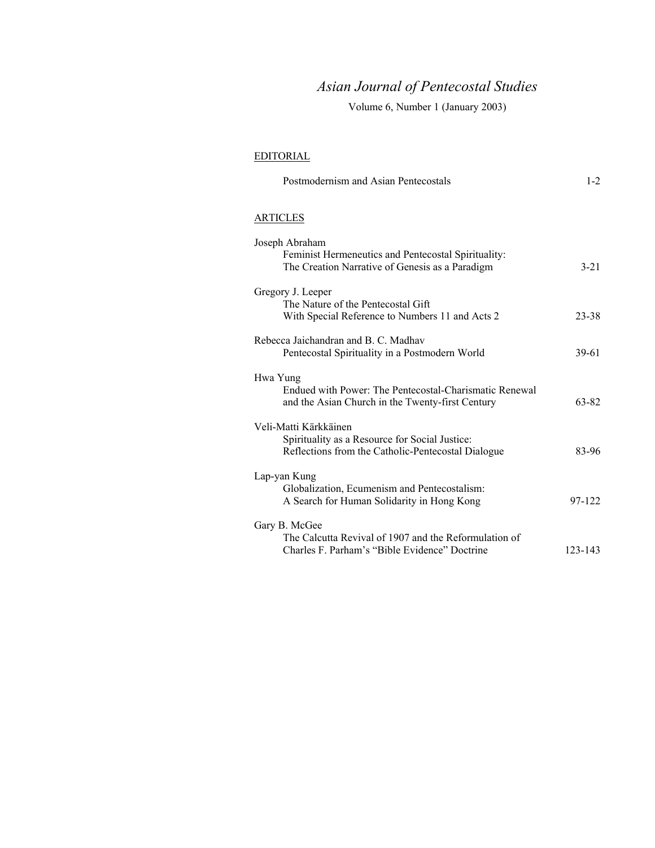# *Asian Journal of Pentecostal Studies*

Volume 6, Number 1 (January 2003)

### EDITORIAL

| Postmodernism and Asian Pentecostals                                                                       | $1 - 2$  |
|------------------------------------------------------------------------------------------------------------|----------|
| <b>ARTICLES</b>                                                                                            |          |
| Joseph Abraham                                                                                             |          |
| Feminist Hermeneutics and Pentecostal Spirituality:<br>The Creation Narrative of Genesis as a Paradigm     | $3 - 21$ |
| Gregory J. Leeper                                                                                          |          |
| The Nature of the Pentecostal Gift<br>With Special Reference to Numbers 11 and Acts 2                      | 23-38    |
| Rebecca Jaichandran and B. C. Madhav<br>Pentecostal Spirituality in a Postmodern World                     | $39-61$  |
| Hwa Yung                                                                                                   |          |
| Endued with Power: The Pentecostal-Charismatic Renewal<br>and the Asian Church in the Twenty-first Century | 63-82    |
| Veli-Matti Kärkkäinen                                                                                      |          |
| Spirituality as a Resource for Social Justice:<br>Reflections from the Catholic-Pentecostal Dialogue       | 83-96    |
| Lap-yan Kung                                                                                               |          |
| Globalization, Ecumenism and Pentecostalism:<br>A Search for Human Solidarity in Hong Kong                 | 97-122   |
| Gary B. McGee                                                                                              |          |
| The Calcutta Revival of 1907 and the Reformulation of<br>Charles F. Parham's "Bible Evidence" Doctrine     | 123-143  |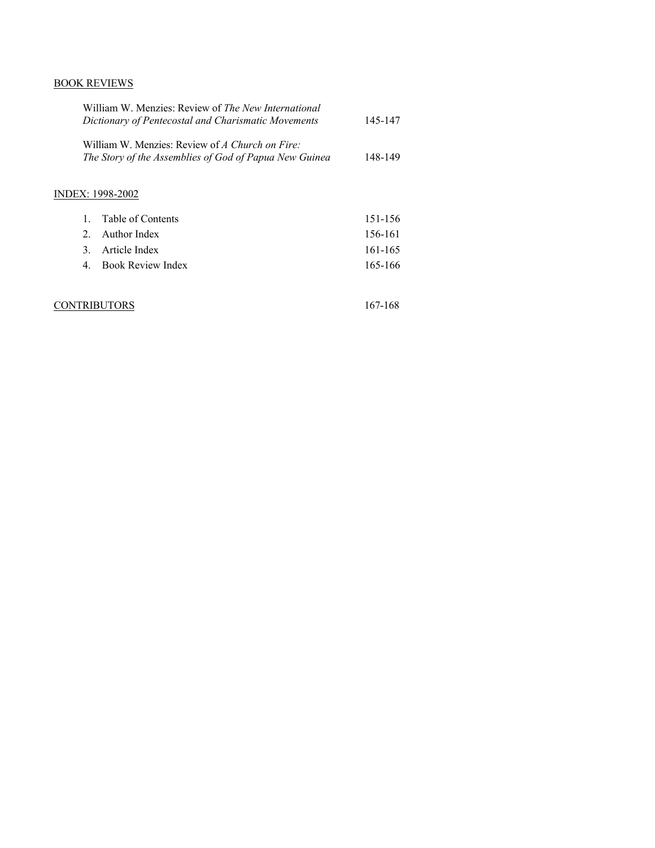## BOOK REVIEWS

| William W. Menzies: Review of <i>The New International</i><br>Dictionary of Pentecostal and Charismatic Movements | 145-147 |
|-------------------------------------------------------------------------------------------------------------------|---------|
| William W. Menzies: Review of A Church on Fire:<br>The Story of the Assemblies of God of Papua New Guinea         | 148-149 |
| IDEX: 1998-2002                                                                                                   |         |
| Table of Contents<br>$\mathbf{1}$                                                                                 | 151-156 |
| Author Index<br>2                                                                                                 | 156-161 |
| Article Index<br>$\mathcal{E}$                                                                                    | 161-165 |
| <b>Book Review Index</b><br>4                                                                                     | 165-166 |
|                                                                                                                   |         |
| TORS<br>R I BLI                                                                                                   | 167-168 |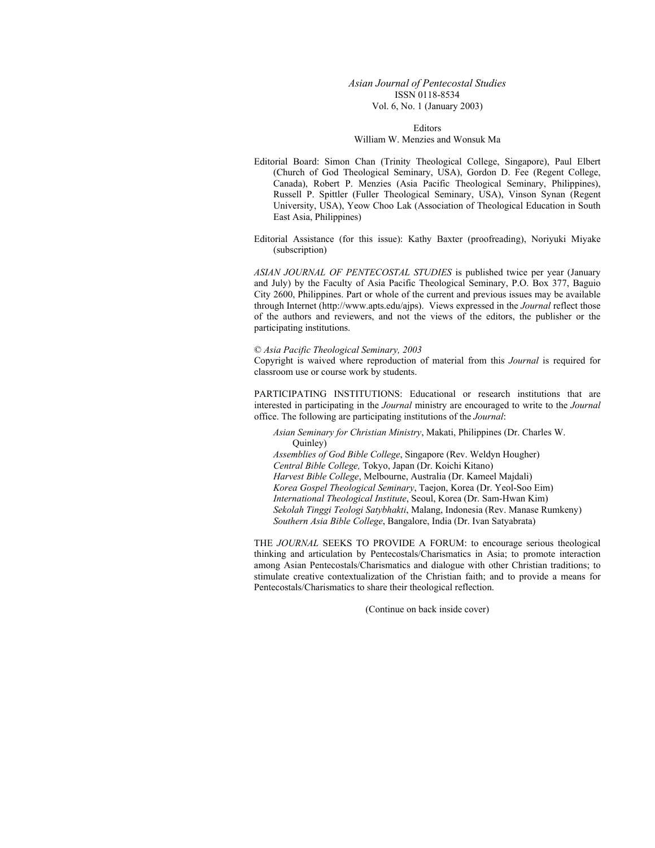*Asian Journal of Pentecostal Studies*  ISSN 0118-8534 Vol. 6, No. 1 (January 2003)

Editors William W. Menzies and Wonsuk Ma

Editorial Board: Simon Chan (Trinity Theological College, Singapore), Paul Elbert (Church of God Theological Seminary, USA), Gordon D. Fee (Regent College, Canada), Robert P. Menzies (Asia Pacific Theological Seminary, Philippines), Russell P. Spittler (Fuller Theological Seminary, USA), Vinson Synan (Regent University, USA), Yeow Choo Lak (Association of Theological Education in South East Asia, Philippines)

Editorial Assistance (for this issue): Kathy Baxter (proofreading), Noriyuki Miyake (subscription)

*ASIAN JOURNAL OF PENTECOSTAL STUDIES* is published twice per year (January and July) by the Faculty of Asia Pacific Theological Seminary, P.O. Box 377, Baguio City 2600, Philippines. Part or whole of the current and previous issues may be available through Internet (http://www.apts.edu/ajps). Views expressed in the *Journal* reflect those of the authors and reviewers, and not the views of the editors, the publisher or the participating institutions.

#### © *Asia Pacific Theological Seminary, 2003*

Copyright is waived where reproduction of material from this *Journal* is required for classroom use or course work by students.

PARTICIPATING INSTITUTIONS: Educational or research institutions that are interested in participating in the *Journal* ministry are encouraged to write to the *Journal* office. The following are participating institutions of the *Journal*:

*Asian Seminary for Christian Ministry*, Makati, Philippines (Dr. Charles W. Quinley)

*Assemblies of God Bible College*, Singapore (Rev. Weldyn Hougher) *Central Bible College,* Tokyo, Japan (Dr. Koichi Kitano) *Harvest Bible College*, Melbourne, Australia (Dr. Kameel Majdali) *Korea Gospel Theological Seminary*, Taejon, Korea (Dr. Yeol-Soo Eim) *International Theological Institute*, Seoul, Korea (Dr. Sam-Hwan Kim) *Sekolah Tinggi Teologi Satybhakti*, Malang, Indonesia (Rev. Manase Rumkeny) *Southern Asia Bible College*, Bangalore, India (Dr. Ivan Satyabrata)

THE *JOURNAL* SEEKS TO PROVIDE A FORUM: to encourage serious theological thinking and articulation by Pentecostals/Charismatics in Asia; to promote interaction among Asian Pentecostals/Charismatics and dialogue with other Christian traditions; to stimulate creative contextualization of the Christian faith; and to provide a means for Pentecostals/Charismatics to share their theological reflection.

(Continue on back inside cover)